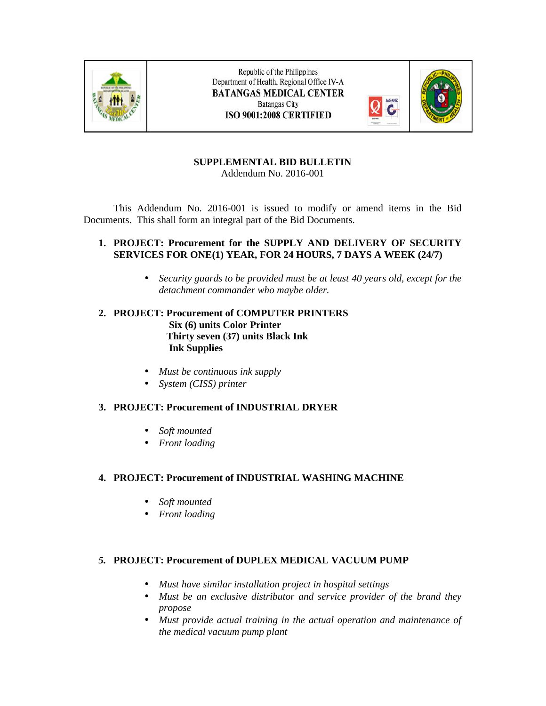

Republic of the Philippines Department of Health, Regional Office IV-A **BATANGAS MEDICAL CENTER Batangas City** ISO 9001:2008 CERTIFIED



#### **SUPPLEMENTAL BID BULLETIN** Addendum No. 2016-001

This Addendum No. 2016-001 is issued to modify or amend items in the Bid Documents. This shall form an integral part of the Bid Documents.

### **1. PROJECT: Procurement for the SUPPLY AND DELIVERY OF SECURITY SERVICES FOR ONE(1) YEAR, FOR 24 HOURS, 7 DAYS A WEEK (24/7)**

 *Security guards to be provided must be at least 40 years old, except for the detachment commander who maybe older.*

## **2. PROJECT: Procurement of COMPUTER PRINTERS Six (6) units Color Printer Thirty seven (37) units Black Ink Ink Supplies**

- *Must be continuous ink supply*
- *System (CISS) printer*

# **3. PROJECT: Procurement of INDUSTRIAL DRYER**

- *Soft mounted*
- *Front loading*

# **4. PROJECT: Procurement of INDUSTRIAL WASHING MACHINE**

- *Soft mounted*
- *Front loading*

### *5.* **PROJECT: Procurement of DUPLEX MEDICAL VACUUM PUMP**

- *Must have similar installation project in hospital settings*
- *Must be an exclusive distributor and service provider of the brand they propose*
- *Must provide actual training in the actual operation and maintenance of the medical vacuum pump plant*